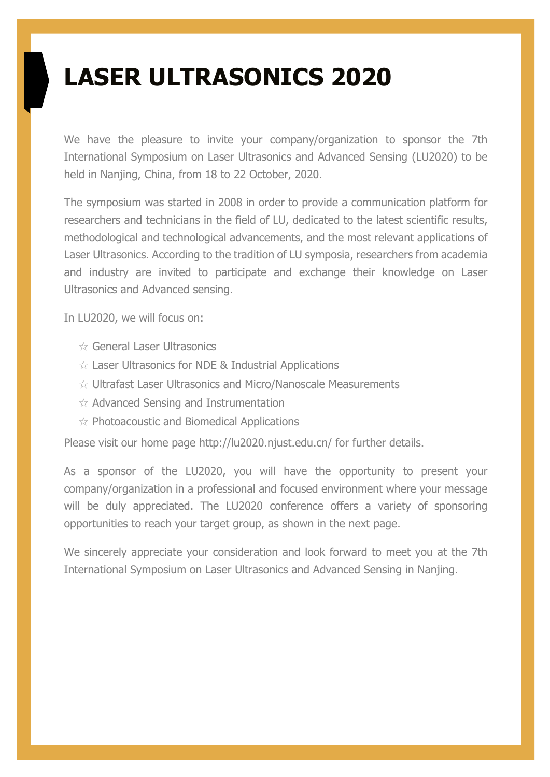## **LASER ULTRASONICS 2020**

We have the pleasure to invite your company/organization to sponsor the 7th International Symposium on Laser Ultrasonics and Advanced Sensing (LU2020) to be held in Nanjing, China, from 18 to 22 October, 2020.

The symposium was started in 2008 in order to provide a communication platform for researchers and technicians in the field of LU, dedicated to the latest scientific results, methodological and technological advancements, and the most relevant applications of Laser Ultrasonics. According to the tradition of LU symposia, researchers from academia and industry are invited to participate and exchange their knowledge on Laser Ultrasonics and Advanced sensing.

In LU2020, we will focus on:

- ☆ General Laser Ultrasonics
- $\hat{\mathcal{R}}$  Laser Ultrasonics for NDE & Industrial Applications
- ☆ Ultrafast Laser Ultrasonics and Micro/Nanoscale Measurements
- ☆ Advanced Sensing and Instrumentation
- ☆ Photoacoustic and Biomedical Applications

Please visit our home page http://lu2020.njust.edu.cn/ for further details.

As a sponsor of the LU2020, you will have the opportunity to present your company/organization in a professional and focused environment where your message will be duly appreciated. The LU2020 conference offers a variety of sponsoring opportunities to reach your target group, as shown in the next page.

We sincerely appreciate your consideration and look forward to meet you at the 7th International Symposium on Laser Ultrasonics and Advanced Sensing in Nanjing.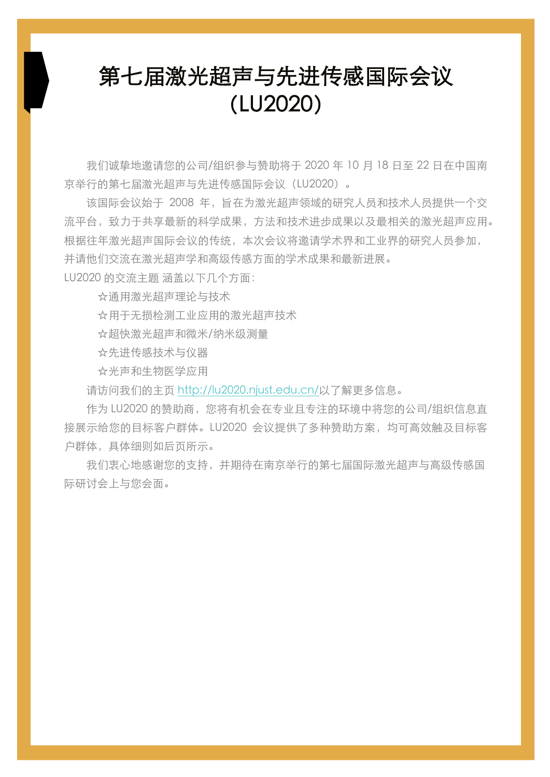## 第七届激光超声与先进传感国际会议 (LU2020)

我们诚挚地邀请您的公司/组织参与赞助将于 2020 年 10 月 18 日至 22 日在中国南 京举行的第七届激光超声与先进传感国际会议 (LU2020)。

该国际会议始于 2008 年,旨在为激光超声领域的研究人员和技术人员提供一个交 流平台, 致力于共享最新的科学成果, 方法和技术进步成果以及最相关的激光超声应用。 根据往年激光超声国际会议的传统,本次会议将激请学术界和工业界的研究 人员参加, 并请他们交流在激光超声学和高级传感方面的学术成果和最新讲展。

LU2020 的交流主题 涵盖以下几个方面:

☆通⽤激光超声理论与技术

☆用于无损检测工业应用的激光超声技术

☆超快激光超声和微⽶/纳⽶级测量

☆先进传感技术与仪器

☆光声和生物医学应用

请访问我们的主⻚ http://lu2020.njust.edu.cn/以了解更多信息。

作为 LU2020 的赞助商,您将有机会在专业且专注的环境中将您的公司/组织信息直 接展示给您的目标客户群体。LU2020 会议提供了多种赞助方案, 均可高效触及目标客 户群体,具体细则如后页所示。

我们衷心地感谢您的支持,并期待在南京举行的第七届国际激光超声与高级传感国 际研讨会上与您会⾯。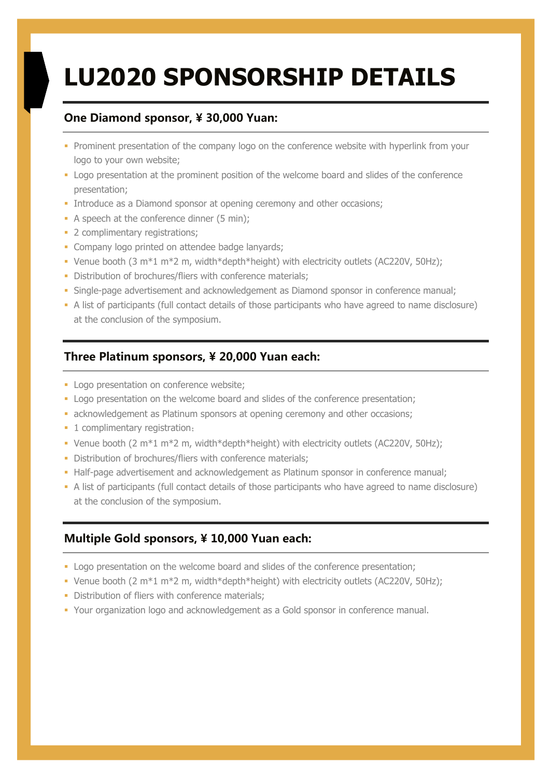# **LU2020 SPONSORSHIP DETAILS**

#### **One Diamond sponsor, ¥ 30,000 Yuan:**

- Prominent presentation of the company logo on the conference website with hyperlink from your logo to your own website;
- § Logo presentation at the prominent position of the welcome board and slides of the conference presentation;
- Introduce as a Diamond sponsor at opening ceremony and other occasions;
- A speech at the conference dinner (5 min);
- 2 complimentary registrations;
- Company logo printed on attendee badge lanyards;
- § Venue booth (3 m\*1 m\*2 m, width\*depth\*height) with electricity outlets (AC220V, 50Hz);
- Distribution of brochures/fliers with conference materials;
- Single-page advertisement and acknowledgement as Diamond sponsor in conference manual;
- § A list of participants (full contact details of those participants who have agreed to name disclosure) at the conclusion of the symposium.

#### **Three Platinum sponsors, ¥ 20,000 Yuan each:**

- Logo presentation on conference website;
- § Logo presentation on the welcome board and slides of the conference presentation;
- **•** acknowledgement as Platinum sponsors at opening ceremony and other occasions;
- 1 complimentary registration;
- § Venue booth (2 m\*1 m\*2 m, width\*depth\*height) with electricity outlets (AC220V, 50Hz);
- Distribution of brochures/fliers with conference materials;
- Half-page advertisement and acknowledgement as Platinum sponsor in conference manual;
- § A list of participants (full contact details of those participants who have agreed to name disclosure) at the conclusion of the symposium.

#### **Multiple Gold sponsors, ¥ 10,000 Yuan each:**

- § Logo presentation on the welcome board and slides of the conference presentation;
- § Venue booth (2 m\*1 m\*2 m, width\*depth\*height) with electricity outlets (AC220V, 50Hz);
- Distribution of fliers with conference materials;
- § Your organization logo and acknowledgement as a Gold sponsor in conference manual.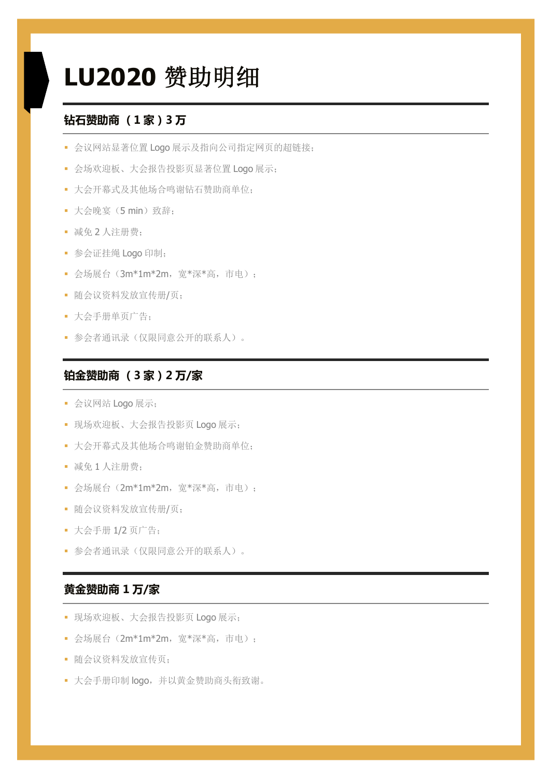## **LU2020** 赞助明细

#### **钻石赞助商 (1 家)3 万**

- § 会议网站显著位置 Logo 展示及指向公司指定网页的超链接;
- § 会场欢迎板、大会报告投影页显著位置 Logo 展示;
- § 大会开幕式及其他场合鸣谢钻石赞助商单位;
- § 大会晚宴(5 min)致辞;
- § 减免 2 人注册费;
- § 参会证挂绳 Logo 印制;
- 会场展台 (3m\*1m\*2m, 宽\*深\*高, 市电);
- § 随会议资料发放宣传册/页;
- § 大会手册单页广告;
- § 参会者通讯录(仅限同意公开的联系人)。

#### **铂金赞助商 (3 家)2 万/家**

- § 会议网站 Logo 展示;
- § 现场欢迎板、大会报告投影页 Logo 展示;
- § 大会开幕式及其他场合鸣谢铂金赞助商单位;
- § 减免 1 人注册费;
- 会场展台 (2m\*1m\*2m, 宽\*深\*高, 市电);
- § 随会议资料发放宣传册/页;
- § 大会手册 1/2 页广告;
- § 参会者通讯录(仅限同意公开的联系人)。

#### **黄金赞助商 1 万/家**

- § 现场欢迎板、大会报告投影页 Logo 展示;
- 会场展台 (2m\*1m\*2m, 宽\*深\*高, 市电);
- § 随会议资料发放宣传页;
- § 大会手册印制 logo,并以黄金赞助商头衔致谢。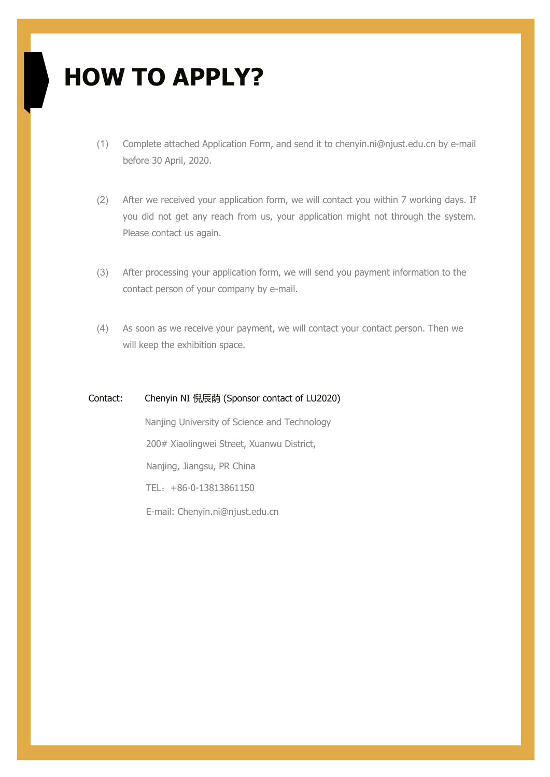## **HOW TO APPLY?**

- (1) Complete attached Application Form, and send it to chenyin.ni@njust.edu.cn by e-mail before 30 April, 2020.
- (2) After we received your application form, we will contact you within 7 working days. If you did not get any reach from us, your application might not through the system. Please contact us again.
- (3) After processing your application form, we will send you payment information to the contact person of your company by e-mail.
- (4) As soon as we receive your payment, we will contact your contact person. Then we will keep the exhibition space.

#### Contact: Chenyin NI 倪辰荫 (Sponsor contact of LU2020)

 Nanjing University of Science and Technology 200# Xiaolingwei Street, Xuanwu District, Nanjing, Jiangsu, PR China TEL:+86-0-13813861150 E-mail: Chenyin.ni@njust.edu.cn